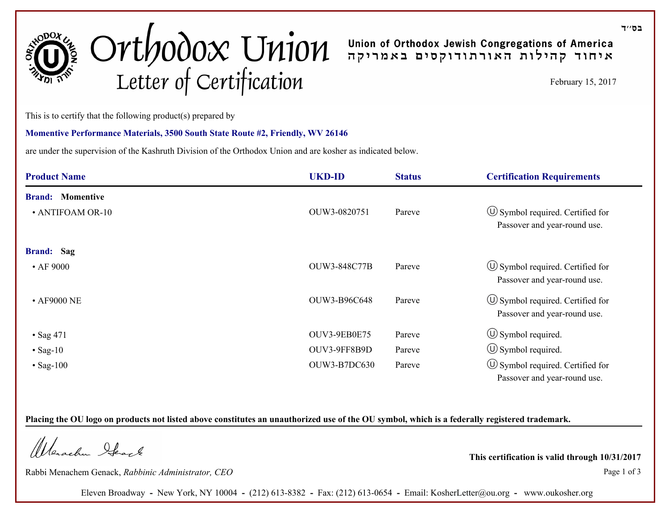

## February 15, 2017

This is to certify that the following product(s) prepared by

## **Momentive Performance Materials, 3500 South State Route #2, Friendly, WV 26146**

are under the supervision of the Kashruth Division of the Orthodox Union and are kosher as indicated below.

| <b>Product Name</b>     | <b>UKD-ID</b>       | <b>Status</b> | <b>Certification Requirements</b>                                      |
|-------------------------|---------------------|---------------|------------------------------------------------------------------------|
| <b>Brand:</b> Momentive |                     |               |                                                                        |
| • ANTIFOAM OR-10        | OUW3-0820751        | Pareve        | $\circ$ Symbol required. Certified for<br>Passover and year-round use. |
| <b>Brand:</b> Sag       |                     |               |                                                                        |
| $\cdot$ AF 9000         | <b>OUW3-848C77B</b> | Pareve        | $\circ$ Symbol required. Certified for<br>Passover and year-round use. |
| • AF9000 NE             | OUW3-B96C648        | Pareve        | $\circ$ Symbol required. Certified for<br>Passover and year-round use. |
| • Sag 471               | OUV3-9EB0E75        | Pareve        | $\circled{1}$ Symbol required.                                         |
| $\cdot$ Sag-10          | OUV3-9FF8B9D        | Pareve        | $\circled{1}$ Symbol required.                                         |
| $\cdot$ Sag-100         | <b>OUW3-B7DC630</b> | Pareve        | $\circ$ Symbol required. Certified for<br>Passover and year-round use. |

**Placing the OU logo on products not listed above constitutes an unauthorized use of the OU symbol, which is a federally registered trademark.**

Werachen Ifrank

Rabbi Menachem Genack, *Rabbinic Administrator, CEO* Page 1 of 3

**This certification is valid through 10/31/2017**

Eleven Broadway **-** New York, NY 10004 **-** (212) 613-8382 **-** Fax: (212) 613-0654 **-** Email: KosherLetter@ou.org **-** www.oukosher.org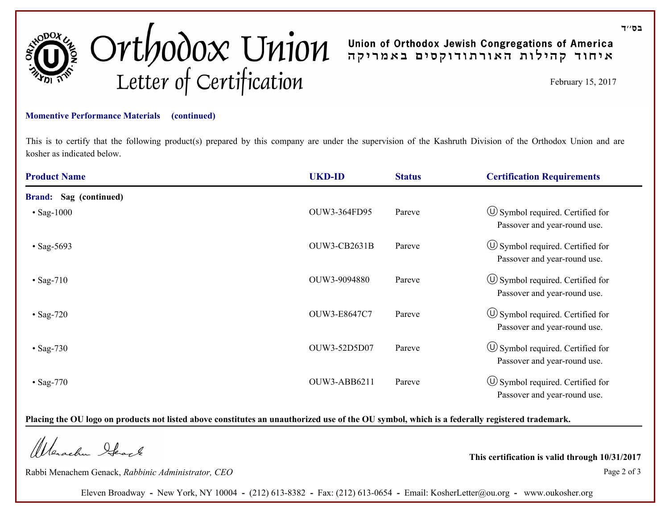

Union of Orthodox Jewish Congregations of America<br>איחוד קהילות האורתודוקסים באמריקה

February 15, 2017

## **Momentive Performance Materials (continued)**

This is to certify that the following product(s) prepared by this company are under the supervision of the Kashruth Division of the Orthodox Union and are kosher as indicated below.

| <b>Product Name</b>    | <b>UKD-ID</b> | <b>Status</b> | <b>Certification Requirements</b>                                      |
|------------------------|---------------|---------------|------------------------------------------------------------------------|
| Brand: Sag (continued) |               |               |                                                                        |
| $\cdot$ Sag-1000       | OUW3-364FD95  | Pareve        | $\circ$ Symbol required. Certified for<br>Passover and year-round use. |
| $\cdot$ Sag-5693       | OUW3-CB2631B  | Pareve        | $\circ$ Symbol required. Certified for<br>Passover and year-round use. |
| $\cdot$ Sag-710        | OUW3-9094880  | Pareve        | $\circ$ Symbol required. Certified for<br>Passover and year-round use. |
| $\cdot$ Sag-720        | OUW3-E8647C7  | Pareve        | $\circ$ Symbol required. Certified for<br>Passover and year-round use. |
| $\cdot$ Sag-730        | OUW3-52D5D07  | Pareve        | $\circ$ Symbol required. Certified for<br>Passover and year-round use. |
| $\cdot$ Sag-770        | OUW3-ABB6211  | Pareve        | $\circ$ Symbol required. Certified for<br>Passover and year-round use. |

**Placing the OU logo on products not listed above constitutes an unauthorized use of the OU symbol, which is a federally registered trademark.**

Werachen Ifrank

Rabbi Menachem Genack, *Rabbinic Administrator, CEO* Page 2 of 3

**This certification is valid through 10/31/2017**

Eleven Broadway **-** New York, NY 10004 **-** (212) 613-8382 **-** Fax: (212) 613-0654 **-** Email: KosherLetter@ou.org **-** www.oukosher.org